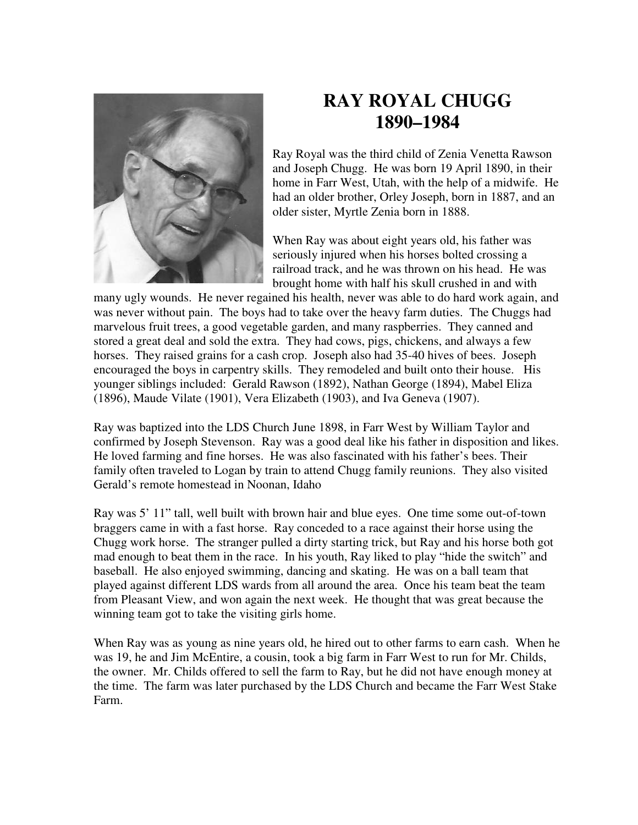

## **RAY ROYAL CHUGG 1890–1984**

Ray Royal was the third child of Zenia Venetta Rawson and Joseph Chugg. He was born 19 April 1890, in their home in Farr West, Utah, with the help of a midwife. He had an older brother, Orley Joseph, born in 1887, and an older sister, Myrtle Zenia born in 1888.

When Ray was about eight years old, his father was seriously injured when his horses bolted crossing a railroad track, and he was thrown on his head. He was brought home with half his skull crushed in and with

many ugly wounds. He never regained his health, never was able to do hard work again, and was never without pain. The boys had to take over the heavy farm duties. The Chuggs had marvelous fruit trees, a good vegetable garden, and many raspberries. They canned and stored a great deal and sold the extra. They had cows, pigs, chickens, and always a few horses. They raised grains for a cash crop. Joseph also had 35-40 hives of bees. Joseph encouraged the boys in carpentry skills. They remodeled and built onto their house. His younger siblings included: Gerald Rawson (1892), Nathan George (1894), Mabel Eliza (1896), Maude Vilate (1901), Vera Elizabeth (1903), and Iva Geneva (1907).

Ray was baptized into the LDS Church June 1898, in Farr West by William Taylor and confirmed by Joseph Stevenson. Ray was a good deal like his father in disposition and likes. He loved farming and fine horses. He was also fascinated with his father's bees. Their family often traveled to Logan by train to attend Chugg family reunions. They also visited Gerald's remote homestead in Noonan, Idaho

Ray was 5' 11" tall, well built with brown hair and blue eyes. One time some out-of-town braggers came in with a fast horse. Ray conceded to a race against their horse using the Chugg work horse. The stranger pulled a dirty starting trick, but Ray and his horse both got mad enough to beat them in the race. In his youth, Ray liked to play "hide the switch" and baseball. He also enjoyed swimming, dancing and skating. He was on a ball team that played against different LDS wards from all around the area. Once his team beat the team from Pleasant View, and won again the next week. He thought that was great because the winning team got to take the visiting girls home.

When Ray was as young as nine years old, he hired out to other farms to earn cash. When he was 19, he and Jim McEntire, a cousin, took a big farm in Farr West to run for Mr. Childs, the owner. Mr. Childs offered to sell the farm to Ray, but he did not have enough money at the time. The farm was later purchased by the LDS Church and became the Farr West Stake Farm.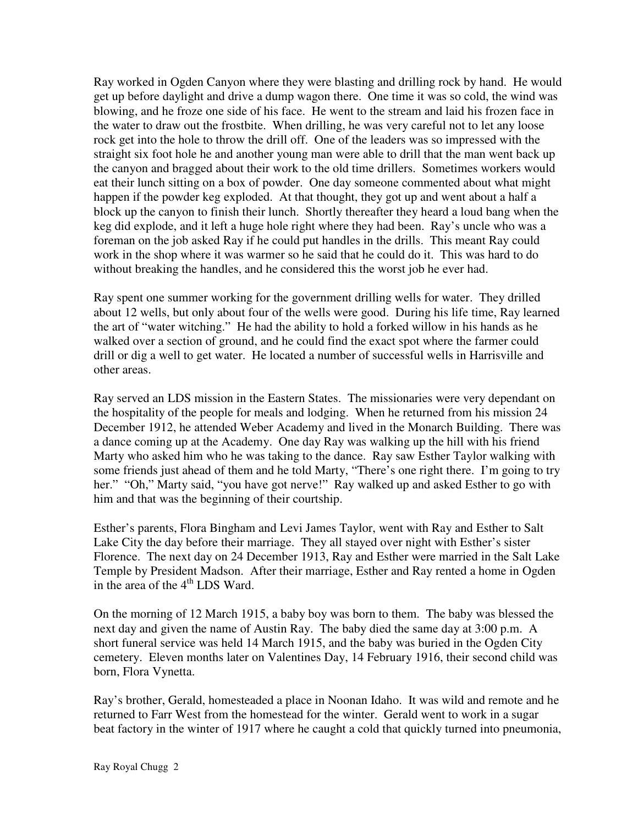Ray worked in Ogden Canyon where they were blasting and drilling rock by hand. He would get up before daylight and drive a dump wagon there. One time it was so cold, the wind was blowing, and he froze one side of his face. He went to the stream and laid his frozen face in the water to draw out the frostbite. When drilling, he was very careful not to let any loose rock get into the hole to throw the drill off. One of the leaders was so impressed with the straight six foot hole he and another young man were able to drill that the man went back up the canyon and bragged about their work to the old time drillers. Sometimes workers would eat their lunch sitting on a box of powder. One day someone commented about what might happen if the powder keg exploded. At that thought, they got up and went about a half a block up the canyon to finish their lunch. Shortly thereafter they heard a loud bang when the keg did explode, and it left a huge hole right where they had been. Ray's uncle who was a foreman on the job asked Ray if he could put handles in the drills. This meant Ray could work in the shop where it was warmer so he said that he could do it. This was hard to do without breaking the handles, and he considered this the worst job he ever had.

Ray spent one summer working for the government drilling wells for water. They drilled about 12 wells, but only about four of the wells were good. During his life time, Ray learned the art of "water witching." He had the ability to hold a forked willow in his hands as he walked over a section of ground, and he could find the exact spot where the farmer could drill or dig a well to get water. He located a number of successful wells in Harrisville and other areas.

Ray served an LDS mission in the Eastern States. The missionaries were very dependant on the hospitality of the people for meals and lodging. When he returned from his mission 24 December 1912, he attended Weber Academy and lived in the Monarch Building. There was a dance coming up at the Academy. One day Ray was walking up the hill with his friend Marty who asked him who he was taking to the dance. Ray saw Esther Taylor walking with some friends just ahead of them and he told Marty, "There's one right there. I'm going to try her." "Oh," Marty said, "you have got nerve!" Ray walked up and asked Esther to go with him and that was the beginning of their courtship.

Esther's parents, Flora Bingham and Levi James Taylor, went with Ray and Esther to Salt Lake City the day before their marriage. They all stayed over night with Esther's sister Florence. The next day on 24 December 1913, Ray and Esther were married in the Salt Lake Temple by President Madson. After their marriage, Esther and Ray rented a home in Ogden in the area of the  $4<sup>th</sup>$  LDS Ward.

On the morning of 12 March 1915, a baby boy was born to them. The baby was blessed the next day and given the name of Austin Ray. The baby died the same day at 3:00 p.m. A short funeral service was held 14 March 1915, and the baby was buried in the Ogden City cemetery. Eleven months later on Valentines Day, 14 February 1916, their second child was born, Flora Vynetta.

Ray's brother, Gerald, homesteaded a place in Noonan Idaho. It was wild and remote and he returned to Farr West from the homestead for the winter. Gerald went to work in a sugar beat factory in the winter of 1917 where he caught a cold that quickly turned into pneumonia,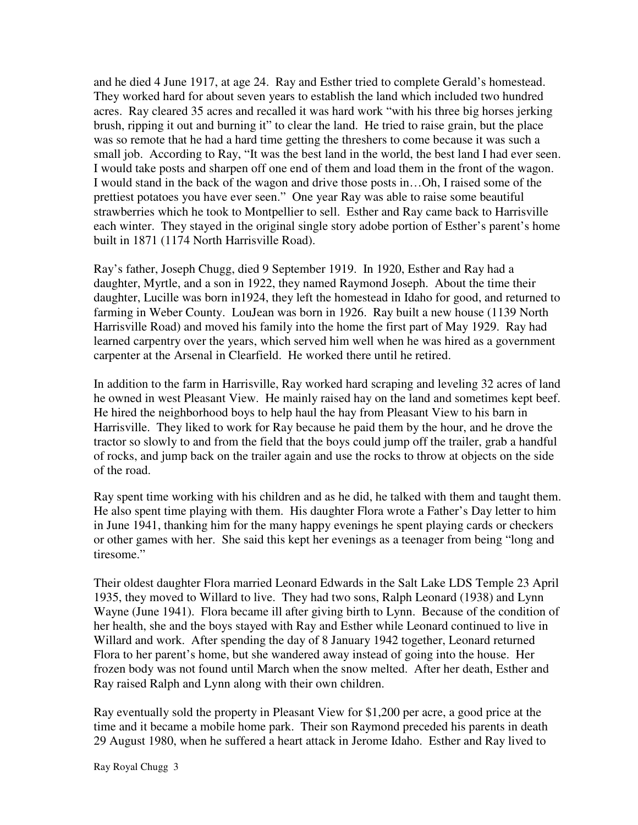and he died 4 June 1917, at age 24. Ray and Esther tried to complete Gerald's homestead. They worked hard for about seven years to establish the land which included two hundred acres. Ray cleared 35 acres and recalled it was hard work "with his three big horses jerking brush, ripping it out and burning it" to clear the land. He tried to raise grain, but the place was so remote that he had a hard time getting the threshers to come because it was such a small job. According to Ray, "It was the best land in the world, the best land I had ever seen. I would take posts and sharpen off one end of them and load them in the front of the wagon. I would stand in the back of the wagon and drive those posts in…Oh, I raised some of the prettiest potatoes you have ever seen." One year Ray was able to raise some beautiful strawberries which he took to Montpellier to sell. Esther and Ray came back to Harrisville each winter. They stayed in the original single story adobe portion of Esther's parent's home built in 1871 (1174 North Harrisville Road).

Ray's father, Joseph Chugg, died 9 September 1919. In 1920, Esther and Ray had a daughter, Myrtle, and a son in 1922, they named Raymond Joseph. About the time their daughter, Lucille was born in1924, they left the homestead in Idaho for good, and returned to farming in Weber County. LouJean was born in 1926. Ray built a new house (1139 North Harrisville Road) and moved his family into the home the first part of May 1929. Ray had learned carpentry over the years, which served him well when he was hired as a government carpenter at the Arsenal in Clearfield. He worked there until he retired.

In addition to the farm in Harrisville, Ray worked hard scraping and leveling 32 acres of land he owned in west Pleasant View. He mainly raised hay on the land and sometimes kept beef. He hired the neighborhood boys to help haul the hay from Pleasant View to his barn in Harrisville. They liked to work for Ray because he paid them by the hour, and he drove the tractor so slowly to and from the field that the boys could jump off the trailer, grab a handful of rocks, and jump back on the trailer again and use the rocks to throw at objects on the side of the road.

Ray spent time working with his children and as he did, he talked with them and taught them. He also spent time playing with them. His daughter Flora wrote a Father's Day letter to him in June 1941, thanking him for the many happy evenings he spent playing cards or checkers or other games with her. She said this kept her evenings as a teenager from being "long and tiresome."

Their oldest daughter Flora married Leonard Edwards in the Salt Lake LDS Temple 23 April 1935, they moved to Willard to live. They had two sons, Ralph Leonard (1938) and Lynn Wayne (June 1941). Flora became ill after giving birth to Lynn. Because of the condition of her health, she and the boys stayed with Ray and Esther while Leonard continued to live in Willard and work. After spending the day of 8 January 1942 together, Leonard returned Flora to her parent's home, but she wandered away instead of going into the house. Her frozen body was not found until March when the snow melted. After her death, Esther and Ray raised Ralph and Lynn along with their own children.

Ray eventually sold the property in Pleasant View for \$1,200 per acre, a good price at the time and it became a mobile home park. Their son Raymond preceded his parents in death 29 August 1980, when he suffered a heart attack in Jerome Idaho. Esther and Ray lived to